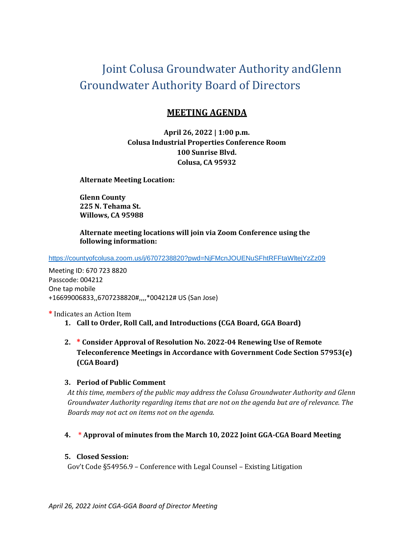# Joint Colusa Groundwater Authority andGlenn Groundwater Authority Board of Directors

## **MEETING AGENDA**

**April 26, 2022 | 1:00 p.m. Colusa Industrial Properties Conference Room 100 Sunrise Blvd. Colusa, CA 95932**

**Alternate Meeting Location:**

**Glenn County 225 N. Tehama St. Willows, CA 95988**

**Alternate meeting locations will join via Zoom Conference using the following information:**

<https://countyofcolusa.zoom.us/j/6707238820?pwd=NjFMcnJOUENuSFhtRFFtaWltejYzZz09>

Meeting ID: 670 723 8820 Passcode: 004212 One tap mobile +16699006833,,6707238820#,,,,\*004212# US (San Jose)

**\*** Indicates an Action Item

- **1. Call to Order, Roll Call, and Introductions (CGA Board, GGA Board)**
- **2. \* Consider Approval of Resolution No. 2022-04 Renewing Use of Remote Teleconference Meetings in Accordance with Government Code Section 57953(e) (CGABoard)**

#### **3. Period of Public Comment**

*At this time, members of the public may address the Colusa Groundwater Authority and Glenn Groundwater Authority regarding items that are not on the agenda but are of relevance. The Boards may not act on items not on the agenda.*

### **4. \* Approval of minutes from the March 10, 2022 Joint GGA-CGA Board Meeting**

#### **5. Closed Session:**

Gov't Code §54956.9 – Conference with Legal Counsel – Existing Litigation